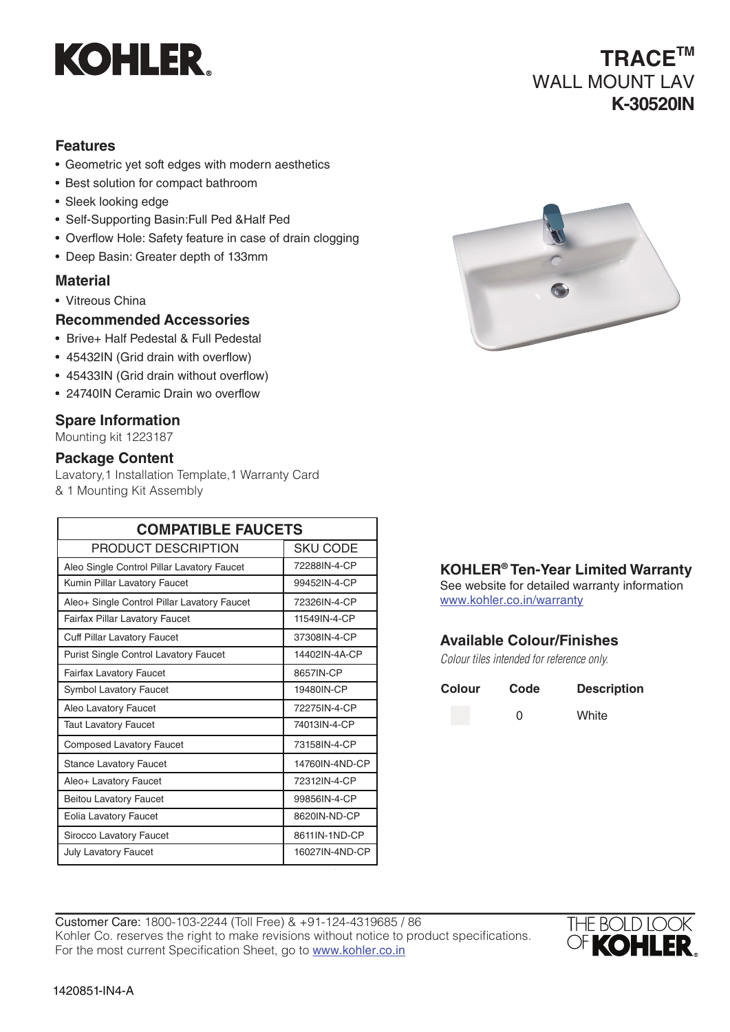

# **TRACETM** WALL MOUNT LAV **K-30520IN**

### **Features**

- Geometric yet soft edges with modern aesthetics
- Best solution for compact bathroom
- Sleek looking edge
- Self-Supporting Basin:Full Ped &Half Ped
- Overflow Hole: Safety feature in case of drain clogging
- Deep Basin: Greater depth of 133mm

#### **Material**

- Vitreous China
- **Recommended Accessories**
- Brive+ Half Pedestal & Full Pedestal
- 45432IN (Grid drain with overflow)
- 45433IN (Grid drain without overflow)
- 24740IN Ceramic Drain wo overflow

#### **Spare Information**

Mounting kit 1223187

#### **Package Content**

Lavatory,1 Installation Template,1 Warranty Card & 1 Mounting Kit Assembly

| <b>COMPATIBLE FAUCETS</b>                   |                |  |
|---------------------------------------------|----------------|--|
| PRODUCT DESCRIPTION                         | SKU CODE       |  |
| Aleo Single Control Pillar Lavatory Faucet  | 72288IN-4-CP   |  |
| Kumin Pillar Lavatory Faucet                | 99452IN-4-CP   |  |
| Aleo+ Single Control Pillar Lavatory Faucet | 72326IN-4-CP   |  |
| <b>Fairfax Pillar Lavatory Faucet</b>       | 11549IN-4-CP   |  |
| <b>Cuff Pillar Lavatory Faucet</b>          | 37308IN-4-CP   |  |
| Purist Single Control Lavatory Faucet       | 14402IN-4A-CP  |  |
| <b>Fairfax Lavatory Faucet</b>              | 8657IN-CP      |  |
| <b>Symbol Lavatory Faucet</b>               | 19480IN-CP     |  |
| Aleo Lavatory Faucet                        | 72275IN-4-CP   |  |
| Taut Lavatory Faucet                        | 74013IN-4-CP   |  |
| <b>Composed Lavatory Faucet</b>             | 73158IN-4-CP   |  |
| <b>Stance Lavatory Faucet</b>               | 14760IN-4ND-CP |  |
| Aleo+ Lavatory Faucet                       | 72312IN-4-CP   |  |
| <b>Beitou Lavatory Faucet</b>               | 99856IN-4-CP   |  |
| <b>Eolia Lavatory Faucet</b>                | 8620IN-ND-CP   |  |
| Sirocco Lavatory Faucet                     | 8611IN-1ND-CP  |  |
| <b>July Lavatory Faucet</b>                 | 16027IN-4ND-CP |  |



#### **KOHLER® Ten-Year Limited Warranty**

See website for detailed warranty information www.kohler.co.in/warranty

#### **Available Colour/Finishes**

*Colour tiles intended for reference only.*

| <b>Colour</b> | Code | <b>Description</b> |
|---------------|------|--------------------|
|               | O    | White              |